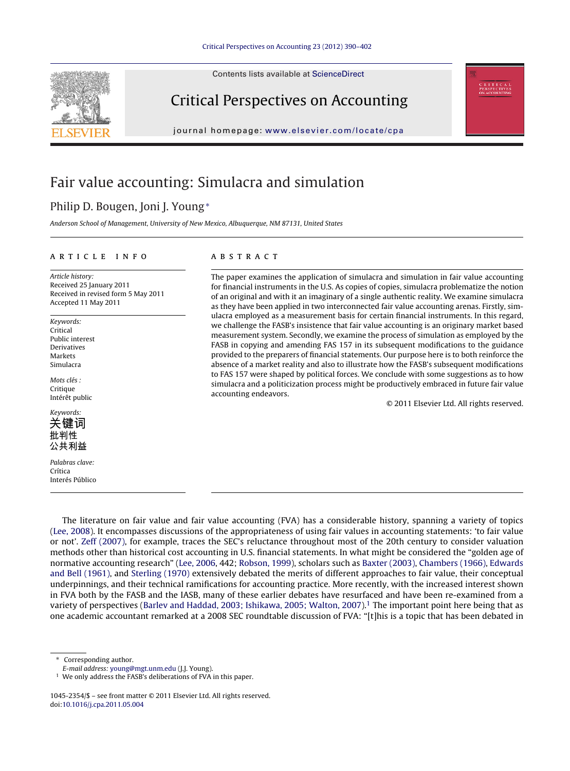Contents lists available at [ScienceDirect](http://www.sciencedirect.com/science/journal/10452354)





journal homepage: [www.elsevier.com/locate/cpa](http://www.elsevier.com/locate/cpa)

## Fair value accounting: Simulacra and simulation

### Philip D. Bougen, Joni J. Young<sup>∗</sup>

Anderson School of Management, University of New Mexico, Albuquerque, NM 87131, United States

#### ARTICLE INFO

Article history: Received 25 January 2011 Received in revised form 5 May 2011 Accepted 11 May 2011

Keywords: Critical Public interest Derivatives Markets Simulacra

Mots clés : Critique Intérêt public



Palabras clave: Crítica Interés Público

#### A B S T R A C T

The paper examines the application of simulacra and simulation in fair value accounting for financial instruments in the U.S. As copies of copies, simulacra problematize the notion of an original and with it an imaginary of a single authentic reality. We examine simulacra as they have been applied in two interconnected fair value accounting arenas. Firstly, simulacra employed as a measurement basis for certain financial instruments. In this regard, we challenge the FASB's insistence that fair value accounting is an originary market based measurement system. Secondly, we examine the process of simulation as employed by the FASB in copying and amending FAS 157 in its subsequent modifications to the guidance provided to the preparers of financial statements. Our purpose here is to both reinforce the absence of a market reality and also to illustrate how the FASB's subsequent modifications to FAS 157 were shaped by political forces. We conclude with some suggestions as to how simulacra and a politicization process might be productively embraced in future fair value accounting endeavors.

© 2011 Elsevier Ltd. All rights reserved.

The literature on fair value and fair value accounting (FVA) has a considerable history, spanning a variety of topics [\(Lee,](#page--1-0) [2008\).](#page--1-0) It encompasses discussions of the appropriateness of using fair values in accounting statements: 'to fair value or not'. [Zeff](#page--1-0) [\(2007\),](#page--1-0) for example, traces the SEC's reluctance throughout most of the 20th century to consider valuation methods other than historical cost accounting in U.S. financial statements. In what might be considered the "golden age of normative accounting research" ([Lee,](#page--1-0) [2006,](#page--1-0) 442; [Robson,](#page--1-0) [1999\),](#page--1-0) scholars such as [Baxter](#page--1-0) [\(2003\),](#page--1-0) [Chambers](#page--1-0) [\(1966\),](#page--1-0) [Edwards](#page--1-0) [and](#page--1-0) [Bell](#page--1-0) [\(1961\),](#page--1-0) and [Sterling](#page--1-0) [\(1970\)](#page--1-0) extensively debated the merits of different approaches to fair value, their conceptual underpinnings, and their technical ramifications for accounting practice. More recently, with the increased interest shown in FVA both by the FASB and the IASB, many of these earlier debates have resurfaced and have been re-examined from a variety of perspectives ([Barlev](#page--1-0) [and](#page--1-0) [Haddad,](#page--1-0) [2003;](#page--1-0) [Ishikawa,](#page--1-0) [2005;](#page--1-0) [Walton,](#page--1-0) 2007).<sup>1</sup> The important point here being that as one academic accountant remarked at a 2008 SEC roundtable discussion of FVA: "[t]his is a topic that has been debated in

Corresponding author.

E-mail address: [young@mgt.unm.edu](mailto:young@mgt.unm.edu) (J.J. Young).

<sup>&</sup>lt;sup>1</sup> We only address the FASB's deliberations of FVA in this paper.

<sup>1045-2354/\$</sup> – see front matter © 2011 Elsevier Ltd. All rights reserved. doi:[10.1016/j.cpa.2011.05.004](dx.doi.org/10.1016/j.cpa.2011.05.004)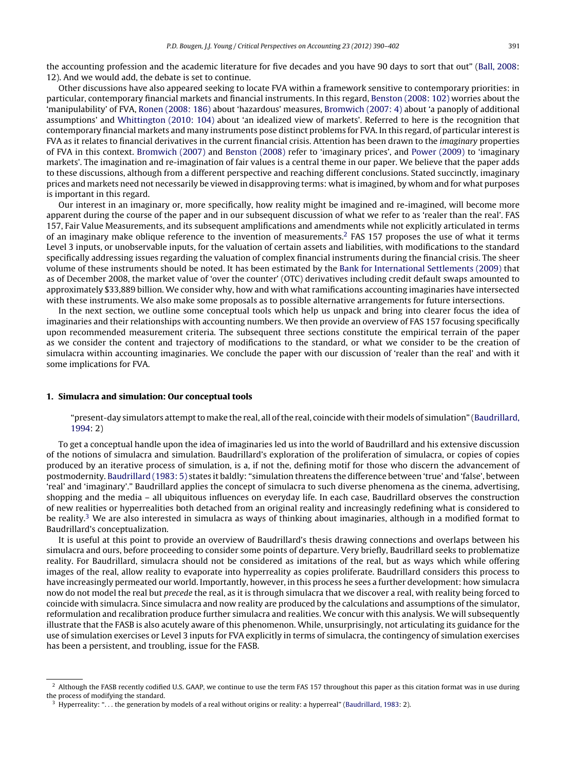the accounting profession and the academic literature for five decades and you have 90 days to sort that out" ([Ball,](#page--1-0) [2008:](#page--1-0) 12). And we would add, the debate is set to continue.

Other discussions have also appeared seeking to locate FVA within a framework sensitive to contemporary priorities: in particular, contemporary financial markets and financial instruments. In this regard, [Benston](#page--1-0) [\(2008:](#page--1-0) [102\)](#page--1-0) worries about the 'manipulability' of FVA, [Ronen](#page--1-0) [\(2008:](#page--1-0) [186\)](#page--1-0) about 'hazardous' measures, [Bromwich](#page--1-0) [\(2007:](#page--1-0) [4\)](#page--1-0) about 'a panoply of additional assumptions' and [Whittington](#page--1-0) [\(2010:](#page--1-0) [104\)](#page--1-0) about 'an idealized view of markets'. Referred to here is the recognition that contemporary financial markets and many instruments pose distinct problems for FVA. In this regard, of particular interestis FVA as it relates to financial derivatives in the current financial crisis. Attention has been drawn to the imaginary properties of FVA in this context. [Bromwich](#page--1-0) [\(2007\)](#page--1-0) and [Benston](#page--1-0) [\(2008\)](#page--1-0) refer to 'imaginary prices', and [Power](#page--1-0) [\(2009\)](#page--1-0) to 'imaginary markets'. The imagination and re-imagination of fair values is a central theme in our paper. We believe that the paper adds to these discussions, although from a different perspective and reaching different conclusions. Stated succinctly, imaginary prices and markets need not necessarily be viewed in disapproving terms: whatis imagined, by whom and for what purposes is important in this regard.

Our interest in an imaginary or, more specifically, how reality might be imagined and re-imagined, will become more apparent during the course of the paper and in our subsequent discussion of what we refer to as 'realer than the real'. FAS 157, Fair Value Measurements, and its subsequent amplifications and amendments while not explicitly articulated in terms of an imaginary make oblique reference to the invention of measurements.2 FAS 157 proposes the use of what it terms Level 3 inputs, or unobservable inputs, for the valuation of certain assets and liabilities, with modifications to the standard specifically addressing issues regarding the valuation of complex financial instruments during the financial crisis. The sheer volume of these instruments should be noted. It has been estimated by the [Bank](#page--1-0) [for](#page--1-0) [International](#page--1-0) [Settlements](#page--1-0) [\(2009\)](#page--1-0) that as of December 2008, the market value of 'over the counter' (OTC) derivatives including credit default swaps amounted to approximately \$33,889 billion. We consider why, how and with what ramifications accounting imaginaries have intersected with these instruments. We also make some proposals as to possible alternative arrangements for future intersections.

In the next section, we outline some conceptual tools which help us unpack and bring into clearer focus the idea of imaginaries and their relationships with accounting numbers. We then provide an overview of FAS 157 focusing specifically upon recommended measurement criteria. The subsequent three sections constitute the empirical terrain of the paper as we consider the content and trajectory of modifications to the standard, or what we consider to be the creation of simulacra within accounting imaginaries. We conclude the paper with our discussion of 'realer than the real' and with it some implications for FVA.

#### **1. Simulacra and simulation: Our conceptual tools**

"present-day simulators attempt to make the real, all of the real, coincide with their models of simulation" ([Baudrillard,](#page--1-0) [1994:](#page--1-0) 2)

To get a conceptual handle upon the idea of imaginaries led us into the world of Baudrillard and his extensive discussion of the notions of simulacra and simulation. Baudrillard's exploration of the proliferation of simulacra, or copies of copies produced by an iterative process of simulation, is a, if not the, defining motif for those who discern the advancement of postmodernity. [Baudrillard](#page--1-0) [\(1983:](#page--1-0) [5\)](#page--1-0) states it baldly: "simulation threatens the difference between 'true' and 'false', between 'real' and 'imaginary'." Baudrillard applies the concept of simulacra to such diverse phenomena as the cinema, advertising, shopping and the media – all ubiquitous influences on everyday life. In each case, Baudrillard observes the construction of new realities or hyperrealities both detached from an original reality and increasingly redefining what is considered to be reality.<sup>3</sup> We are also interested in simulacra as ways of thinking about imaginaries, although in a modified format to Baudrillard's conceptualization.

It is useful at this point to provide an overview of Baudrillard's thesis drawing connections and overlaps between his simulacra and ours, before proceeding to consider some points of departure. Very briefly, Baudrillard seeks to problematize reality. For Baudrillard, simulacra should not be considered as imitations of the real, but as ways which while offering images of the real, allow reality to evaporate into hyperreality as copies proliferate. Baudrillard considers this process to have increasingly permeated our world. Importantly, however, in this process he sees a further development: how simulacra now do not model the real but precede the real, as it is through simulacra that we discover a real, with reality being forced to coincide with simulacra. Since simulacra and now reality are produced by the calculations and assumptions of the simulator, reformulation and recalibration produce further simulacra and realities. We concur with this analysis. We will subsequently illustrate that the FASB is also acutely aware of this phenomenon. While, unsurprisingly, not articulating its guidance for the use of simulation exercises or Level 3 inputs for FVA explicitly in terms of simulacra, the contingency of simulation exercises has been a persistent, and troubling, issue for the FASB.

<sup>&</sup>lt;sup>2</sup> Although the FASB recently codified U.S. GAAP, we continue to use the term FAS 157 throughout this paper as this citation format was in use during the process of modifying the standard.

 $3$  Hyperreality: "... the generation by models of a real without origins or reality: a hyperreal" [\(Baudrillard,](#page--1-0) [1983:](#page--1-0) 2).